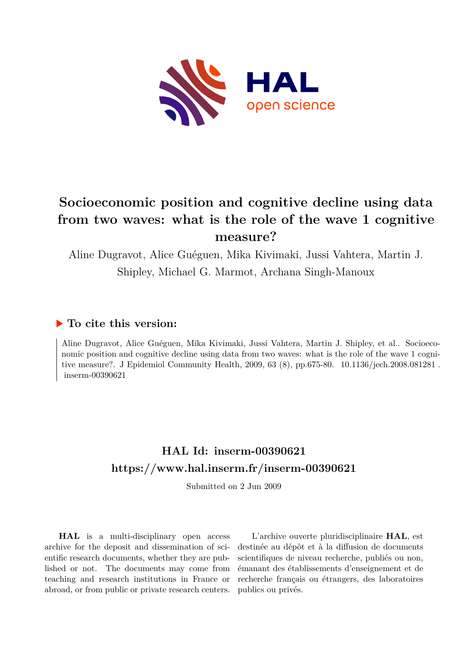

# **Socioeconomic position and cognitive decline using data from two waves: what is the role of the wave 1 cognitive measure?**

Aline Dugravot, Alice Guéguen, Mika Kivimaki, Jussi Vahtera, Martin J. Shipley, Michael G. Marmot, Archana Singh-Manoux

# **To cite this version:**

Aline Dugravot, Alice Guéguen, Mika Kivimaki, Jussi Vahtera, Martin J. Shipley, et al.. Socioeconomic position and cognitive decline using data from two waves: what is the role of the wave 1 cognitive measure?. J Epidemiol Community Health, 2009, 63 (8), pp.675-80. 10.1136/jech.2008.081281.  $inserm-00390621$ 

# **HAL Id: inserm-00390621 <https://www.hal.inserm.fr/inserm-00390621>**

Submitted on 2 Jun 2009

**HAL** is a multi-disciplinary open access archive for the deposit and dissemination of scientific research documents, whether they are published or not. The documents may come from teaching and research institutions in France or abroad, or from public or private research centers.

L'archive ouverte pluridisciplinaire **HAL**, est destinée au dépôt et à la diffusion de documents scientifiques de niveau recherche, publiés ou non, émanant des établissements d'enseignement et de recherche français ou étrangers, des laboratoires publics ou privés.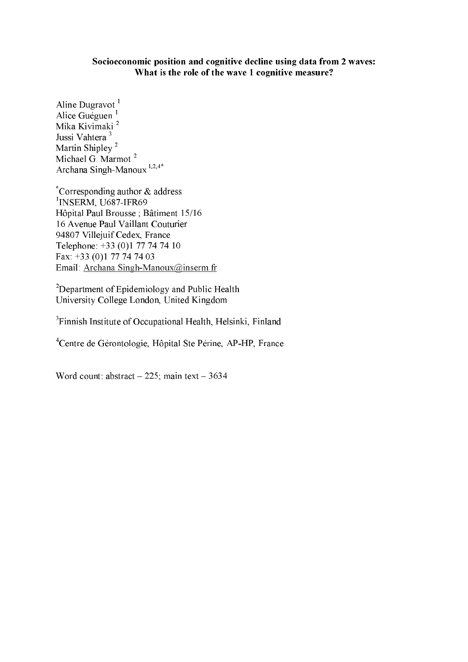## Socioeconomic position and cognitive decline using data from 2 waves: What is the role of the wave 1 cognitive measure?

Aline Dugravot<sup>1</sup> Alice Guéguen<sup>1</sup> Mika Kivimaki<sup>2</sup> Jussi Vahtera<sup>3</sup> Martin Shipley<sup>2</sup> Michael G. Marmot<sup>2</sup> Archana Singh-Manoux<sup>1,2,4\*</sup>

\*Corresponding author  $&$  address <sup>1</sup>INSERM, U687-IFR69 Hôpital Paul Brousse; Bâtiment 15/16 16 Avenue Paul Vaillant Couturier 94807 Villejuif Cedex, France Telephone: +33 (0)1 77 74 74 10 Fax: +33 (0)1 77 74 74 03 Email: Archana Singh-Manoux@inserm.fr

<sup>2</sup>Department of Epidemiology and Public Health University College London, United Kingdom

<sup>3</sup>Finnish Institute of Occupational Health, Helsinki, Finland

<sup>4</sup>Centre de Gérontologie, Hôpital Ste Périne, AP-HP, France

Word count: abstract  $-225$ ; main text  $-3634$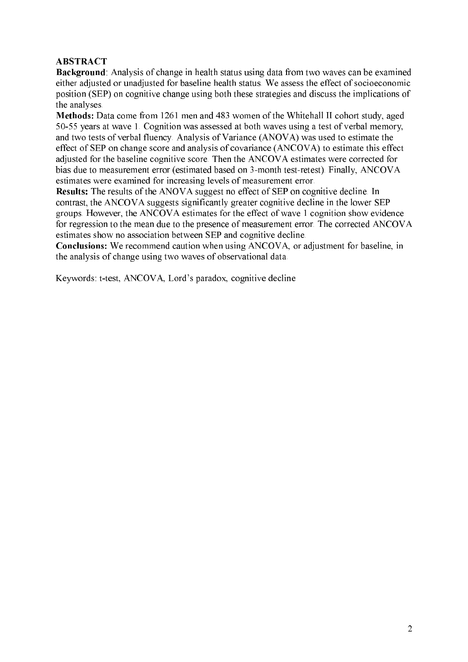# **ABSTRACT**

**Background**: Analysis of change in health status using data from two waves can be examined either adjusted or unadjusted for baseline health status. We assess the effect of socioeconomic position (SEP) on cognitive change using both these strategies and discuss the implications of the analyses.

Methods: Data come from 1261 men and 483 women of the Whitehall II cohort study, aged 50-55 years at wave 1. Cognition was assessed at both waves using a test of verbal memory, and two tests of verbal fluency. Analysis of Variance (ANOVA) was used to estimate the effect of SEP on change score and analysis of covariance (ANCOVA) to estimate this effect adiusted for the baseline cognitive score. Then the ANCOVA estimates were corrected for bias due to measurement error (estimated based on 3-month test-retest). Finally, ANCOVA estimates were examined for increasing levels of measurement error.

**Results:** The results of the ANOVA suggest no effect of SEP on cognitive decline. In contrast, the ANCOVA suggests significantly greater cognitive decline in the lower SEP groups. However, the ANCOVA estimates for the effect of wave 1 cognition show evidence for regression to the mean due to the presence of measurement error. The corrected ANCOVA estimates show no association between SEP and cognitive decline.

**Conclusions:** We recommend caution when using ANCOVA, or adjustment for baseline, in the analysis of change using two waves of observational data.

Keywords: t-test, ANCOVA, Lord's paradox, cognitive decline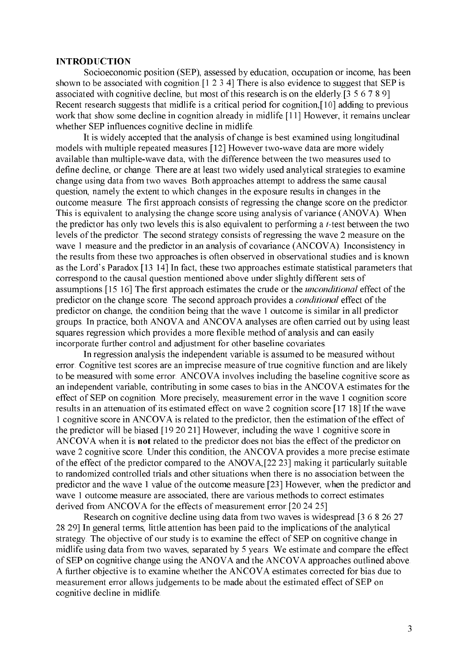#### **INTRODUCTION**

Socioeconomic position (SEP), assessed by education, occupation or income, has been shown to be associated with cognition [1 2 3 4] There is also evidence to suggest that SEP is associated with cognitive decline, but most of this research is on the elderly [3 5 6 7 8 9] Recent research suggests that midlife is a critical period for cognition, [10] adding to previous work that show some decline in cognition already in midlife. [11] However, it remains unclear whether SEP influences cognitive decline in midlife.

It is widely accepted that the analysis of change is best examined using longitudinal models with multiple repeated measures [12] However two-wave data are more widely available than multiple-wave data, with the difference between the two measures used to define decline, or change. There are at least two widely used analytical strategies to examine change using data from two waves. Both approaches attempt to address the same causal question, namely the extent to which changes in the exposure results in changes in the outcome measure. The first approach consists of regressing the change score on the predictor. This is equivalent to analysing the change score using analysis of variance (ANOVA). When the predictor has only two levels this is also equivalent to performing a *t*-test between the two levels of the predictor. The second strategy consists of regressing the wave 2 measure on the wave 1 measure and the predictor in an analysis of covariance (ANCOVA). Inconsistency in the results from these two approaches is often observed in observational studies and is known as the Lord's Paradox. [13 14] In fact, these two approaches estimate statistical parameters that correspond to the causal question mentioned above under slightly different sets of assumptions [15 16] The first approach estimates the crude or the *unconditional* effect of the predictor on the change score. The second approach provides a *conditional* effect of the predictor on change, the condition being that the wave 1 outcome is similar in all predictor groups. In practice, both ANOVA and ANCOVA analyses are often carried out by using least squares regression which provides a more flexible method of analysis and can easily incorporate further control and adjustment for other baseline covariates.

In regression analysis the independent variable is assumed to be measured without error. Cognitive test scores are an imprecise measure of true cognitive function and are likely to be measured with some error. ANCOVA involves including the baseline cognitive score as an independent variable, contributing in some cases to bias in the ANCOVA estimates for the effect of SEP on cognition. More precisely, measurement error in the wave 1 cognition score results in an attenuation of its estimated effect on wave 2 cognition score [17 18] If the wave 1 cognitive score in ANCOVA is related to the predictor, then the estimation of the effect of the predictor will be biased [19 20 21] However, including the wave 1 cognitive score in ANCOVA when it is **not** related to the predictor does not bias the effect of the predictor on wave 2 cognitive score. Under this condition, the ANCOVA provides a more precise estimate of the effect of the predictor compared to the ANOVA, [22 23] making it particularly suitable to randomized controlled trials and other situations when there is no association between the predictor and the wave 1 value of the outcome measure.[23] However, when the predictor and wave 1 outcome measure are associated, there are various methods to correct estimates derived from ANCOVA for the effects of measurement error [20 24 25]

Research on cognitive decline using data from two waves is widespread [3 6 8 26 27 28 29] In general terms, little attention has been paid to the implications of the analytical strategy. The objective of our study is to examine the effect of SEP on cognitive change in midlife using data from two waves, separated by 5 years. We estimate and compare the effect of SEP on cognitive change using the ANOVA and the ANCOVA approaches outlined above. A further objective is to examine whether the ANCOVA estimates corrected for bias due to measurement error allows judgements to be made about the estimated effect of SEP on cognitive decline in midlife.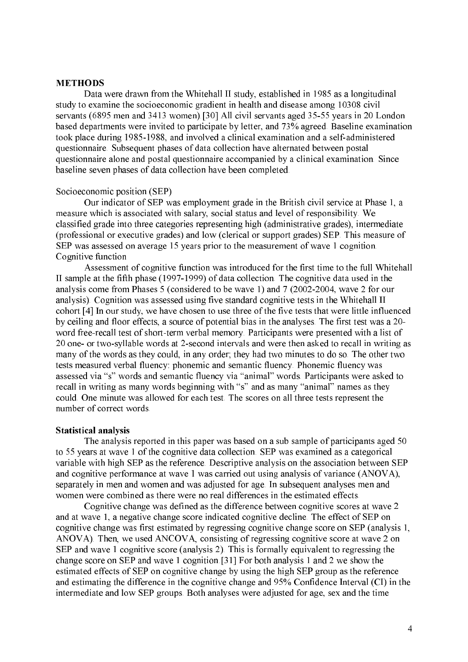### **METHODS**

Data were drawn from the Whitehall II study, established in 1985 as a longitudinal study to examine the socioeconomic gradient in health and disease among 10308 civil servants (6895 men and 3413 women).[30] All civil servants aged 35-55 years in 20 London based departments were invited to participate by letter, and 73% agreed. Baseline examination took place during 1985-1988, and involved a clinical examination and a self-administered questionnaire. Subsequent phases of data collection have alternated between postal questionnaire alone and postal questionnaire accompanied by a clinical examination. Since baseline seven phases of data collection have been completed.

#### Socioeconomic position (SEP)

Our indicator of SEP was employment grade in the British civil service at Phase 1, a measure which is associated with salary, social status and level of responsibility. We classified grade into three categories representing high (administrative grades), intermediate (professional or executive grades) and low (clerical or support grades) SEP. This measure of SEP was assessed on average 15 years prior to the measurement of wave 1 cognition. Cognitive function

Assessment of cognitive function was introduced for the first time to the full Whitehall II sample at the fifth phase (1997-1999) of data collection. The cognitive data used in the analysis come from Phases 5 (considered to be wave 1) and 7 (2002-2004, wave 2 for our analysis). Cognition was assessed using five standard cognitive tests in the Whitehall II cohort.<sup>[4]</sup> In our study, we have chosen to use three of the five tests that were little influenced by ceiling and floor effects, a source of potential bias in the analyses. The first test was a 20word free-recall test of short-term verbal memory. Participants were presented with a list of 20 one- or two-syllable words at 2-second intervals and were then asked to recall in writing as many of the words as they could, in any order; they had two minutes to do so. The other two tests measured verbal fluency: phonemic and semantic fluency. Phonemic fluency was assessed via "s" words and semantic fluency via "animal" words. Participants were asked to recall in writing as many words beginning with "s" and as many "animal" names as they could. One minute was allowed for each test. The scores on all three tests represent the number of correct words.

#### **Statistical analysis**

The analysis reported in this paper was based on a sub sample of participants aged 50 to 55 years at wave 1 of the cognitive data collection. SEP was examined as a categorical variable with high SEP as the reference. Descriptive analysis on the association between SEP and cognitive performance at wave 1 was carried out using analysis of variance (ANOVA), separately in men and women and was adjusted for age. In subsequent analyses men and women were combined as there were no real differences in the estimated effects.

Cognitive change was defined as the difference between cognitive scores at wave 2 and at wave 1, a negative change score indicated cognitive decline. The effect of SEP on cognitive change was first estimated by regressing cognitive change score on SEP (analysis 1, ANOVA). Then, we used ANCOVA, consisting of regressing cognitive score at wave 2 on SEP and wave 1 cognitive score (analysis 2). This is formally equivalent to regressing the change score on SEP and wave 1 cognition. [31] For both analysis 1 and 2 we show the estimated effects of SEP on cognitive change by using the high SEP group as the reference and estimating the difference in the cognitive change and 95% Confidence Interval (CI) in the intermediate and low SEP groups. Both analyses were adjusted for age, sex and the time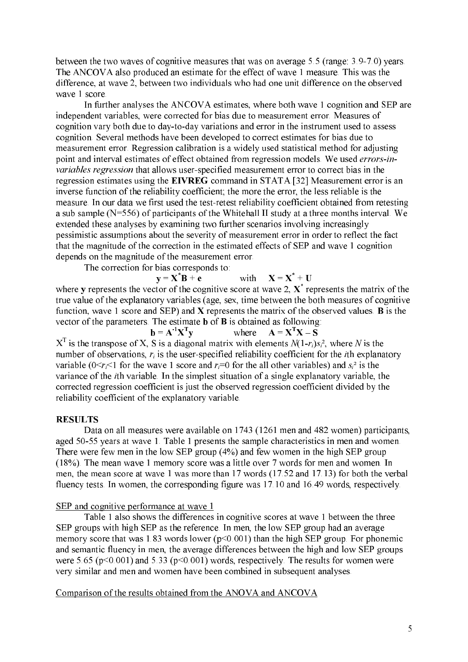between the two waves of cognitive measures that was on average 5.5 (range: 3.9-7.0) years. The ANCOVA also produced an estimate for the effect of wave 1 measure. This was the difference, at wave 2, between two individuals who had one unit difference on the observed wave 1 score.

In further analyses the ANCOVA estimates, where both wave 1 cognition and SEP are independent variables, were corrected for bias due to measurement error. Measures of cognition vary both due to day-to-day variations and error in the instrument used to assess cognition. Several methods have been developed to correct estimates for bias due to measurement error. Regression calibration is a widely used statistical method for adjusting point and interval estimates of effect obtained from regression models. We used *errors-in*variables regression that allows user-specified measurement error to correct bias in the regression estimates using the EIVREG command in STATA.[32] Measurement error is an inverse function of the reliability coefficient; the more the error, the less reliable is the measure. In our data we first used the test-retest reliability coefficient obtained from retesting a sub sample  $(N=556)$  of participants of the Whitehall II study at a three months interval. We extended these analyses by examining two further scenarios involving increasingly pessimistic assumptions about the severity of measurement error in order to reflect the fact that the magnitude of the correction in the estimated effects of SEP and wave 1 cognition depends on the magnitude of the measurement error.

The correction for bias corresponds to:

 $y = X^*B + e$ with  $X = X^* + U$ where **v** represents the vector of the cognitive score at wave 2.  $X^*$  represents the matrix of the

true value of the explanatory variables (age, sex, time between the both measures of cognitive function, wave 1 score and SEP) and  $X$  represents the matrix of the observed values. **B** is the vector of the parameters. The estimate  $\bf{b}$  of  $\bf{B}$  is obtained as following:

 $\mathbf{b} = \mathbf{A}^{-1} \mathbf{X}^{\mathrm{T}} \mathbf{v}$ where  $A = X<sup>T</sup>X - S$  $X<sup>T</sup>$  is the transpose of X, S is a diagonal matrix with elements  $N(1-r_i)s_i^2$ , where N is the number of observations,  $r_i$  is the user-specified reliability coefficient for the *i*th explanatory variable  $(0 \le r_i \le 1$  for the wave 1 score and  $r_i = 0$  for the all other variables) and  $s_i^2$  is the variance of the *i*th variable. In the simplest situation of a single explanatory variable, the corrected regression coefficient is just the observed regression coefficient divided by the reliability coefficient of the explanatory variable.

### **RESULTS**

Data on all measures were available on 1743 (1261 men and 482 women) participants, aged 50-55 years at wave 1. Table 1 presents the sample characteristics in men and women. There were few men in the low SEP group  $(4\%)$  and few women in the high SEP group (18%). The mean wave 1 memory score was a little over 7 words for men and women. In men, the mean score at wave 1 was more than 17 words (17.52 and 17.13) for both the verbal fluency tests. In women, the corresponding figure was 17.10 and 16.49 words, respectively.

#### SEP and cognitive performance at wave 1

Table 1 also shows the differences in cognitive scores at wave 1 between the three SEP groups with high SEP as the reference. In men, the low SEP group had an average memory score that was 1.83 words lower ( $p<0.001$ ) than the high SEP group. For phonemic and semantic fluency in men, the average differences between the high and low SEP groups were 5.65 ( $p \le 0.001$ ) and 5.33 ( $p \le 0.001$ ) words, respectively. The results for women were very similar and men and women have been combined in subsequent analyses.

## Comparison of the results obtained from the ANOVA and ANCOVA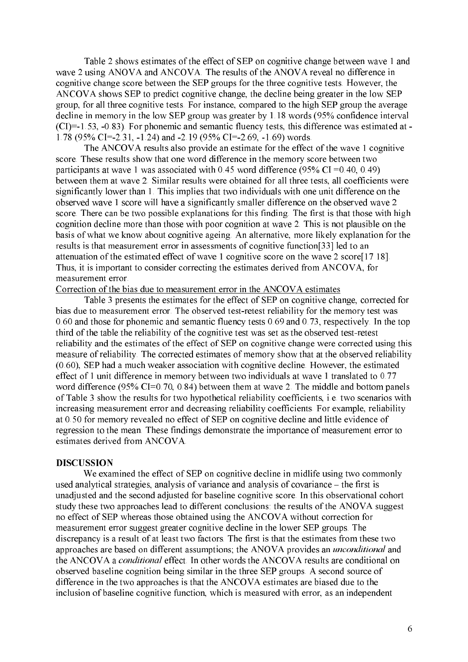Table 2 shows estimates of the effect of SEP on cognitive change between wave 1 and wave 2 using ANOVA and ANCOVA. The results of the ANOVA reveal no difference in cognitive change score between the SEP groups for the three cognitive tests. However, the ANCOVA shows SEP to predict cognitive change, the decline being greater in the low SEP group, for all three cognitive tests. For instance, compared to the high SEP group the average decline in memory in the low SEP group was greater by 1.18 words (95% confidence interval  $(CI) = 1.53, -0.83$ ). For phonemic and semantic fluency tests, this difference was estimated at -1.78 (95% CI=-2.31, -1.24) and -2.19 (95% CI=-2.69, -1.69) words.

The ANCOVA results also provide an estimate for the effect of the wave 1 cognitive score. These results show that one word difference in the memory score between two participants at wave 1 was associated with 0.45 word difference (95% CI = 0.40, 0.49) between them at wave 2. Similar results were obtained for all three tests, all coefficients were significantly lower than 1. This implies that two individuals with one unit difference on the observed wave 1 score will have a significantly smaller difference on the observed wave 2 score. There can be two possible explanations for this finding. The first is that those with high cognition decline more than those with poor cognition at wave 2. This is not plausible on the basis of what we know about cognitive ageing. An alternative, more likely explanation for the results is that measurement error in assessments of cognitive function [33] led to an attenuation of the estimated effect of wave 1 cognitive score on the wave 2 score[17 18]. Thus, it is important to consider correcting the estimates derived from ANCOVA, for measurement error.

Correction of the bias due to measurement error in the ANCOVA estimates

Table 3 presents the estimates for the effect of SEP on cognitive change, corrected for bias due to measurement error. The observed test-retest reliability for the memory test was 0.60 and those for phonemic and semantic fluency tests  $0.69$  and  $0.73$ , respectively. In the top third of the table the reliability of the cognitive test was set as the observed test-retest reliability and the estimates of the effect of SEP on cognitive change were corrected using this measure of reliability. The corrected estimates of memory show that at the observed reliability (0.60), SEP had a much weaker association with cognitive decline. However, the estimated effect of 1 unit difference in memory between two individuals at wave 1 translated to 0.77 word difference (95%  $CI=0.70, 0.84$ ) between them at wave 2. The middle and bottom panels of Table 3 show the results for two hypothetical reliability coefficients, i.e. two scenarios with increasing measurement error and decreasing reliability coefficients. For example, reliability at 0.50 for memory revealed no effect of SEP on cognitive decline and little evidence of regression to the mean. These findings demonstrate the importance of measurement error to estimates derived from ANCOVA.

#### **DISCUSSION**

We examined the effect of SEP on cognitive decline in midlife using two commonly used analytical strategies, analysis of variance and analysis of covariance – the first is unadjusted and the second adjusted for baseline cognitive score. In this observational cohort study these two approaches lead to different conclusions: the results of the ANOVA suggest no effect of SEP whereas those obtained using the ANCOVA without correction for measurement error suggest greater cognitive decline in the lower SEP groups. The discrepancy is a result of at least two factors. The first is that the estimates from these two approaches are based on different assumptions; the ANOVA provides an unconditional and the ANCOVA a *conditional* effect. In other words the ANCOVA results are conditional on observed baseline cognition being similar in the three SEP groups. A second source of difference in the two approaches is that the ANCOVA estimates are biased due to the inclusion of baseline cognitive function, which is measured with error, as an independent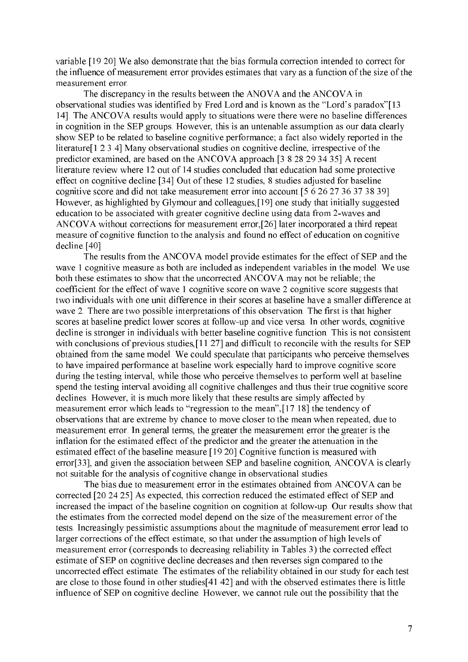variable. [19 20] We also demonstrate that the bias formula correction intended to correct for the influence of measurement error provides estimates that vary as a function of the size of the measurement error.

The discrepancy in the results between the ANOVA and the ANCOVA in observational studies was identified by Fred Lord and is known as the "Lord's paradox"[13] 14]. The ANCOVA results would apply to situations were there were no baseline differences in cognition in the SEP groups. However, this is an untenable assumption as our data clearly show SEP to be related to baseline cognitive performance; a fact also widely reported in the literature [1 2 3 4] Many observational studies on cognitive decline, irrespective of the predictor examined, are based on the ANCOVA approach [3 8 28 29 34 35] A recent literature review where 12 out of 14 studies concluded that education had some protective effect on cognitive decline. [34] Out of these 12 studies, 8 studies adjusted for baseline cognitive score and did not take measurement error into account [5 6 26 27 36 37 38 39] However, as highlighted by Glymour and colleagues, [19] one study that initially suggested education to be associated with greater cognitive decline using data from 2-waves and ANCOVA without corrections for measurement error, [26] later incorporated a third repeat measure of cognitive function to the analysis and found no effect of education on cognitive decline [40]

The results from the ANCOVA model provide estimates for the effect of SEP and the wave 1 cognitive measure as both are included as independent variables in the model. We use both these estimates to show that the uncorrected ANCOVA may not be reliable; the coefficient for the effect of wave 1 cognitive score on wave 2 cognitive score suggests that two individuals with one unit difference in their scores at baseline have a smaller difference at wave 2. There are two possible interpretations of this observation. The first is that higher scores at baseline predict lower scores at follow-up and vice versa. In other words, cognitive decline is stronger in individuals with better baseline cognitive function. This is not consistent with conclusions of previous studies, [11 27] and difficult to reconcile with the results for SEP obtained from the same model. We could speculate that participants who perceive themselves to have impaired performance at baseline work especially hard to improve cognitive score during the testing interval, while those who perceive themselves to perform well at baseline spend the testing interval avoiding all cognitive challenges and thus their true cognitive score declines. However, it is much more likely that these results are simply affected by measurement error which leads to "regression to the mean", [17 18] the tendency of observations that are extreme by chance to move closer to the mean when repeated, due to measurement error. In general terms, the greater the measurement error the greater is the inflation for the estimated effect of the predictor and the greater the attenuation in the estimated effect of the baseline measure [19 20] Cognitive function is measured with error<sup>[33]</sup>, and given the association between SEP and baseline cognition. ANCOVA is clearly not suitable for the analysis of cognitive change in observational studies.

The bias due to measurement error in the estimates obtained from ANCOVA can be corrected [20 24 25] As expected, this correction reduced the estimated effect of SEP and increased the impact of the baseline cognition on cognition at follow-up. Our results show that the estimates from the corrected model depend on the size of the measurement error of the tests. Increasingly pessimistic assumptions about the magnitude of measurement error lead to larger corrections of the effect estimate, so that under the assumption of high levels of measurement error (corresponds to decreasing reliability in Tables 3) the corrected effect estimate of SEP on cognitive decline decreases and then reverses sign compared to the uncorrected effect estimate. The estimates of the reliability obtained in our study for each test are close to those found in other studies [41 42] and with the observed estimates there is little influence of SEP on cognitive decline. However, we cannot rule out the possibility that the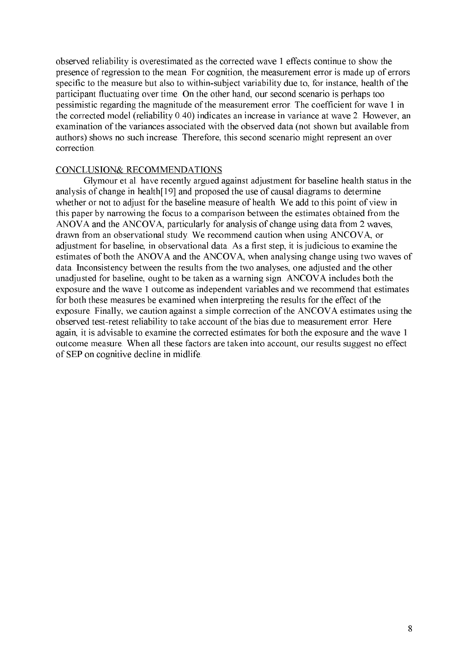observed reliability is overestimated as the corrected wave 1 effects continue to show the presence of regression to the mean. For cognition, the measurement error is made up of errors specific to the measure but also to within-subject variability due to, for instance, health of the participant fluctuating over time. On the other hand, our second scenario is perhaps too pessimistic regarding the magnitude of the measurement error. The coefficient for wave 1 in the corrected model (reliability 0.40) indicates an increase in variance at wave 2. However, an examination of the variances associated with the observed data (not shown but available from authors) shows no such increase. Therefore, this second scenario might represent an over correction.

#### **CONCLUSION& RECOMMENDATIONS**

Glymour et al. have recently argued against adjustment for baseline health status in the analysis of change in health[19] and proposed the use of causal diagrams to determine whether or not to adjust for the baseline measure of health. We add to this point of view in this paper by narrowing the focus to a comparison between the estimates obtained from the ANOVA and the ANCOVA, particularly for analysis of change using data from 2 waves, drawn from an observational study. We recommend caution when using ANCOVA, or adjustment for baseline, in observational data. As a first step, it is judicious to examine the estimates of both the ANOVA and the ANCOVA, when analysing change using two waves of data. Inconsistency between the results from the two analyses, one adjusted and the other unadjusted for baseline, ought to be taken as a warning sign. ANCOVA includes both the exposure and the wave 1 outcome as independent variables and we recommend that estimates for both these measures be examined when interpreting the results for the effect of the exposure. Finally, we caution against a simple correction of the ANCOVA estimates using the observed test-retest reliability to take account of the bias due to measurement error. Here again, it is advisable to examine the corrected estimates for both the exposure and the wave 1 outcome measure. When all these factors are taken into account, our results suggest no effect of SEP on cognitive decline in midlife.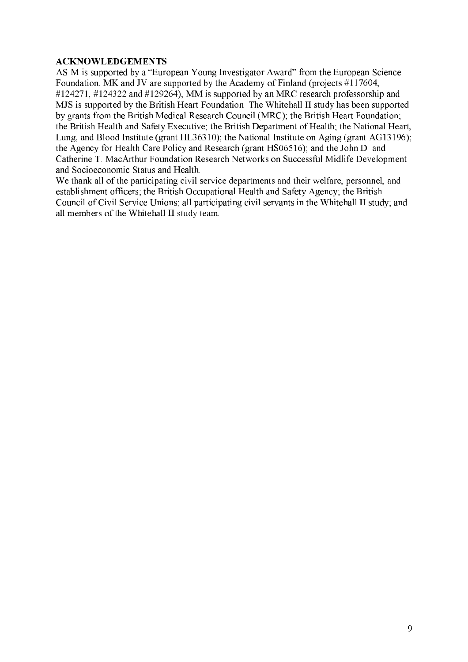# **ACKNOWLEDGEMENTS**

AS-M is supported by a "European Young Investigator Award" from the European Science Foundation. MK and JV are supported by the Academy of Finland (projects #117604, #124271, #124322 and #129264), MM is supported by an MRC research professorship and MJS is supported by the British Heart Foundation. The Whitehall II study has been supported by grants from the British Medical Research Council (MRC); the British Heart Foundation; the British Health and Safety Executive; the British Department of Health; the National Heart, Lung, and Blood Institute (grant HL36310); the National Institute on Aging (grant AG13196); the Agency for Health Care Policy and Research (grant HS06516); and the John D. and Catherine T. MacArthur Foundation Research Networks on Successful Midlife Development and Socioeconomic Status and Health.

We thank all of the participating civil service departments and their welfare, personnel, and establishment officers; the British Occupational Health and Safety Agency; the British Council of Civil Service Unions; all participating civil servants in the Whitehall II study; and all members of the Whitehall II study team.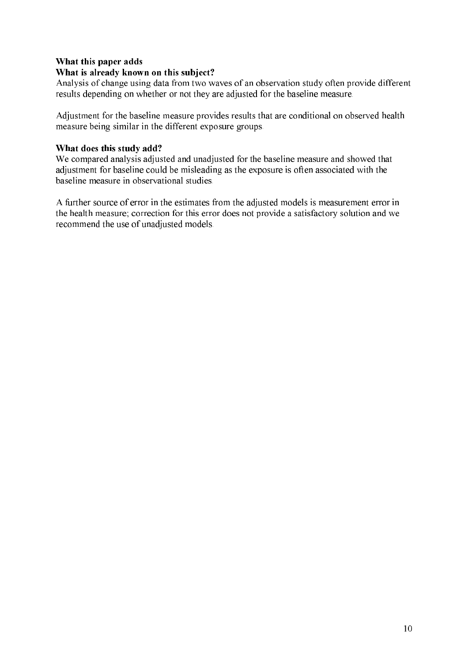# What this paper adds

# What is already known on this subject?

Analysis of change using data from two waves of an observation study often provide different results depending on whether or not they are adjusted for the baseline measure.

Adjustment for the baseline measure provides results that are conditional on observed health measure being similar in the different exposure groups.

# What does this study add?

We compared analysis adjusted and unadjusted for the baseline measure and showed that adjustment for baseline could be misleading as the exposure is often associated with the baseline measure in observational studies.

A further source of error in the estimates from the adjusted models is measurement error in the health measure; correction for this error does not provide a satisfactory solution and we recommend the use of unadjusted models.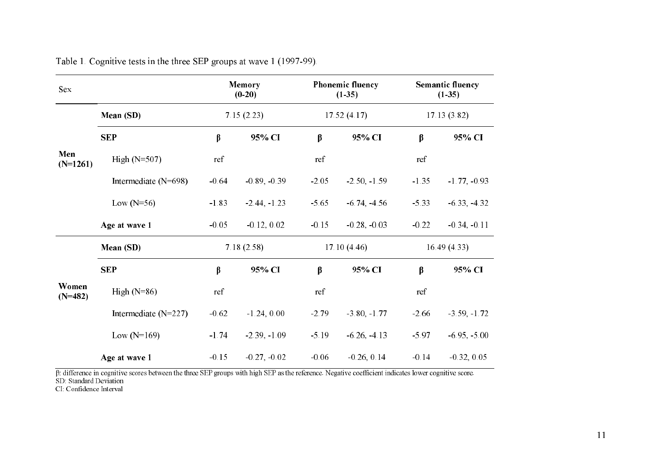| Sex                                             |                                                                                                                                                     |         | Memory<br>$(0-20)$ |         | Phonemic fluency<br>$(1-35)$ |         | <b>Semantic fluency</b><br>$(1-35)$ |  |
|-------------------------------------------------|-----------------------------------------------------------------------------------------------------------------------------------------------------|---------|--------------------|---------|------------------------------|---------|-------------------------------------|--|
|                                                 | Mean (SD)                                                                                                                                           |         | 7.15(2.23)         |         | 17.52(4.17)                  |         | 17.13(3.82)                         |  |
|                                                 | <b>SEP</b>                                                                                                                                          | β       | 95% CI             | $\beta$ | 95% CI                       | $\beta$ | 95% CI                              |  |
| Men<br>$(N=1261)$                               | High $(N=507)$                                                                                                                                      | ref     |                    | ref     |                              | ref     |                                     |  |
|                                                 | Intermediate (N=698)                                                                                                                                | $-0.64$ | $-0.89, -0.39$     | $-2.05$ | $-2.50, -1.59$               | $-1.35$ | $-1.77, -0.93$                      |  |
|                                                 | Low $(N=56)$                                                                                                                                        | $-1.83$ | $-2.44, -1.23$     | $-5.65$ | $-6.74, -4.56$               | $-5.33$ | $-6.33, -4.32$                      |  |
|                                                 | Age at wave 1                                                                                                                                       | $-0.05$ | $-0.12, 0.02$      | $-0.15$ | $-0.28, -0.03$               | $-0.22$ | $-0.34, -0.11$                      |  |
|                                                 | Mean (SD)                                                                                                                                           |         | 7.18(2.58)         |         | 17.10(4.46)                  |         | 16.49(4.33)                         |  |
|                                                 | <b>SEP</b>                                                                                                                                          | $\beta$ | 95% CI             | $\beta$ | 95% CI                       | $\beta$ | 95% CI                              |  |
| Women<br>$(N=482)$                              | High $(N=86)$                                                                                                                                       | ref     |                    | ref     |                              | ref     |                                     |  |
|                                                 | Intermediate $(N=227)$                                                                                                                              | $-0.62$ | $-1.24, 0.00$      | $-2.79$ | $-3.80, -1.77$               | $-2.66$ | $-3.59, -1.72$                      |  |
|                                                 | Low $(N=169)$                                                                                                                                       | $-1.74$ | $-2.39, -1.09$     | $-5.19$ | $-6.26, -4.13$               | $-5.97$ | $-6.95, -5.00$                      |  |
|                                                 | Age at wave 1                                                                                                                                       | $-0.15$ | $-0.27, -0.02$     | $-0.06$ | $-0.26, 0.14$                | $-0.14$ | $-0.32, 0.05$                       |  |
| SD Standard Deviation<br>CI Confidence Interval | B difference in cognitive scores between the three SEP groups with high SEP as the reference. Negative coefficient indicates lower cognitive score. |         |                    |         |                              |         |                                     |  |

Cognitive tests in the three SEP groups at wave 1 (1997-99).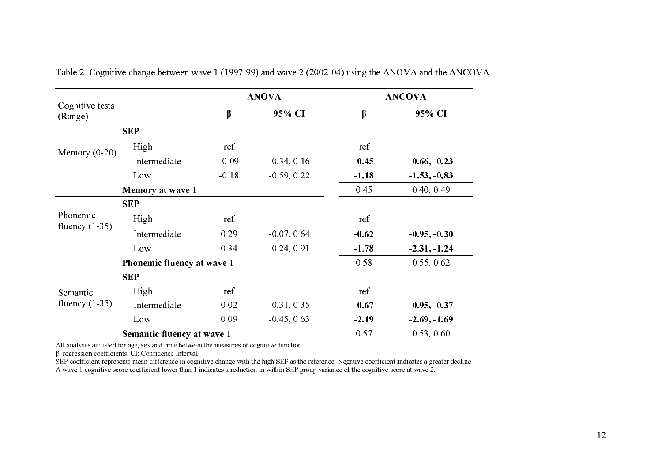|                            |                            |         | <b>ANOVA</b>  |         | <b>ANCOVA</b>  |
|----------------------------|----------------------------|---------|---------------|---------|----------------|
| Cognitive tests<br>(Range) |                            | $\beta$ | 95% CI        | β       | 95% CI         |
|                            | <b>SEP</b>                 |         |               |         |                |
| Memory $(0-20)$            | High                       | ref     |               | ref     |                |
|                            | Intermediate               | $-0.09$ | $-0.34, 0.16$ | $-0.45$ | $-0.66, -0.23$ |
|                            | Low                        | $-0.18$ | $-0.59, 0.22$ | $-1.18$ | $-1.53, -0.83$ |
|                            | Memory at wave 1           |         |               | 0.45    | 0.40, 0.49     |
|                            | <b>SEP</b>                 |         |               |         |                |
| Phonemic                   | High                       | ref     |               | ref     |                |
| fluency $(1-35)$           | Intermediate               | 0.29    | $-0.07, 0.64$ | $-0.62$ | $-0.95, -0.30$ |
|                            | Low                        | 0.34    | $-0.24, 0.91$ | $-1.78$ | $-2.31, -1.24$ |
|                            | Phonemic fluency at wave 1 |         |               | 0.58    | 0.55, 0.62     |
|                            | <b>SEP</b>                 |         |               |         |                |
| Semantic                   | High                       | ref     |               | ref     |                |
| fluency $(1-35)$           | Intermediate               | 0.02    | $-0.31, 0.35$ | $-0.67$ | $-0.95, -0.37$ |
|                            | Low                        | 0.09    | $-0.45, 0.63$ | $-2.19$ | $-2.69, -1.69$ |
|                            | Semantic fluency at wave 1 |         |               | 0.57    | 0.53, 0.60     |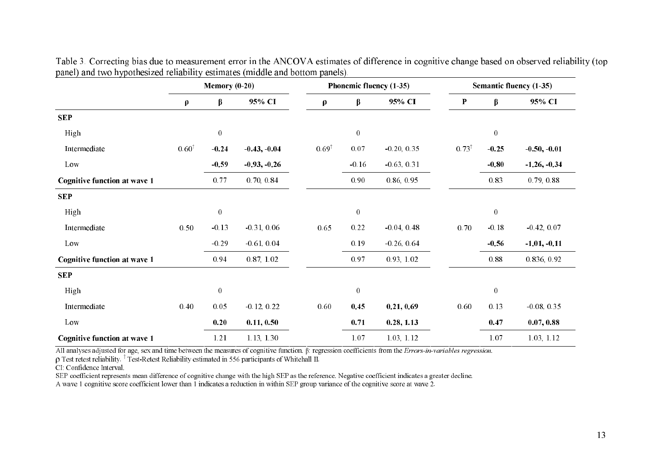| $\boldsymbol{\rho}$<br>$0.60^{\dagger}$                                                                                                | $\beta$<br>$\boldsymbol{0}$<br>$-0.24$ | 95% CI         | $\rho$           | $\beta$<br>$\boldsymbol{0}$                                                                                            | 95% CI        | $\mathbf P$      | $\beta$                                                                                                                                              | 95% CI                                                                                                                                                                   |
|----------------------------------------------------------------------------------------------------------------------------------------|----------------------------------------|----------------|------------------|------------------------------------------------------------------------------------------------------------------------|---------------|------------------|------------------------------------------------------------------------------------------------------------------------------------------------------|--------------------------------------------------------------------------------------------------------------------------------------------------------------------------|
|                                                                                                                                        |                                        |                |                  |                                                                                                                        |               |                  |                                                                                                                                                      |                                                                                                                                                                          |
|                                                                                                                                        |                                        |                |                  |                                                                                                                        |               |                  |                                                                                                                                                      |                                                                                                                                                                          |
|                                                                                                                                        |                                        |                |                  |                                                                                                                        |               |                  | $\boldsymbol{0}$                                                                                                                                     |                                                                                                                                                                          |
|                                                                                                                                        |                                        | $-0.43, -0.04$ | $0.69^{\dagger}$ | $0.07\,$                                                                                                               | $-0.20, 0.35$ | $0.73^{\dagger}$ | $-0.25$                                                                                                                                              | $-0.50, -0.01$                                                                                                                                                           |
|                                                                                                                                        | $-0.59$                                | $-0.93, -0.26$ |                  | $-0.16$                                                                                                                | $-0.63, 0.31$ |                  | $-0.80$                                                                                                                                              | $-1.26, -0.34$                                                                                                                                                           |
|                                                                                                                                        | 0.77                                   | 0.70, 0.84     |                  | 0.90                                                                                                                   | 0.86, 0.95    |                  | 0.83                                                                                                                                                 | 0.79, 0.88                                                                                                                                                               |
|                                                                                                                                        |                                        |                |                  |                                                                                                                        |               |                  |                                                                                                                                                      |                                                                                                                                                                          |
|                                                                                                                                        | $\boldsymbol{0}$                       |                |                  | $\boldsymbol{0}$                                                                                                       |               |                  | $\boldsymbol{0}$                                                                                                                                     |                                                                                                                                                                          |
|                                                                                                                                        | $-0.13$                                | $-0.31, 0.06$  | 0.65             | 0.22                                                                                                                   | $-0.04, 0.48$ | 0.70             | $-0.18$                                                                                                                                              | $-0.42, 0.07$                                                                                                                                                            |
|                                                                                                                                        | $-0.29$                                | $-0.61, 0.04$  |                  | 0.19                                                                                                                   | $-0.26, 0.64$ |                  | $-0.56$                                                                                                                                              | $-1.01, -0.11$                                                                                                                                                           |
|                                                                                                                                        | 0.94                                   | 0.87, 1.02     |                  | 0.97                                                                                                                   | 0.93, 1.02    |                  | $0.88\,$                                                                                                                                             | 0.836, 0.92                                                                                                                                                              |
|                                                                                                                                        |                                        |                |                  |                                                                                                                        |               |                  |                                                                                                                                                      |                                                                                                                                                                          |
|                                                                                                                                        | $\boldsymbol{0}$                       |                |                  | $\boldsymbol{0}$                                                                                                       |               |                  | $\boldsymbol{0}$                                                                                                                                     |                                                                                                                                                                          |
|                                                                                                                                        | 0.05                                   | $-0.12, 0.22$  | 0.60             | 0.45                                                                                                                   | 0.21, 0.69    | 0.60             | 0.13                                                                                                                                                 | $-0.08, 0.35$                                                                                                                                                            |
|                                                                                                                                        | 0.20                                   | 0.11, 0.50     |                  | 0.71                                                                                                                   | 0.28, 1.13    |                  | 0.47                                                                                                                                                 | 0.07, 0.88                                                                                                                                                               |
|                                                                                                                                        | 1.21                                   | 1.13, 1.30     |                  | 1.07                                                                                                                   | 1.03, 1.12    |                  | 1.07                                                                                                                                                 | 1.03, 1.12                                                                                                                                                               |
| A wave 1 cognitive score coefficient lower than 1 indicates a reduction in within SEP group variance of the cognitive score at wave 2. | 0.50<br>0.40                           |                |                  | $\rho$ Test retest reliability $\frac{1}{\rho}$ Test-Retest Reliability estimated in 556 participants of Whitehall II. |               |                  | SEP coefficient represents mean difference of cognitive change with the high SEP as the reference. Negative coefficient indicates a greater decline. | All analyses adjusted for age, sex and time between the measures of cognitive function. $\beta$ regression coefficients from the <i>Errors-in-variables regression</i> . |

rrecting bias due to measurement error in the ANCOVA estimates of difference in cognitive change based on observed reliability (top panel) and two hypothesized reliability estimates (middle and bottom panels).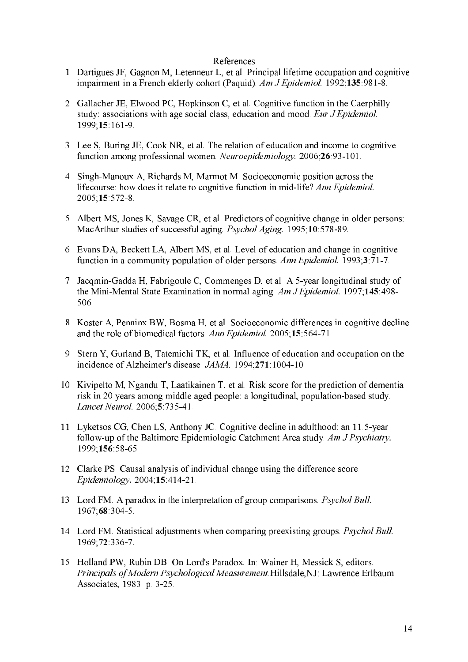#### References

- 1 Dartigues JF, Gagnon M, Letenneur L, et al. Principal lifetime occupation and cognitive impairment in a French elderly cohort (Paquid). Am J Epidemiol. 1992;135:981-8.
- 2 Gallacher JE, Elwood PC, Hopkinson C, et al. Cognitive function in the Caerphilly study: associations with age social class, education and mood. Eur J Epidemiol. 1999;15 161-9
- 3 Lee S, Buring JE, Cook NR, et al. The relation of education and income to cognitive function among professional women. Neuroepidemiology. 2006;26:93-101.
- 4 Singh-Manoux A, Richards M, Marmot M. Socioeconomic position across the lifecourse: how does it relate to cognitive function in mid-life? Ann Epidemiol. 2005;15:572-8.
- 5 Albert MS, Jones K, Savage CR, et al. Predictors of cognitive change in older persons: MacArthur studies of successful aging *Psychol Aging*. 1995;10:578-89.
- 6 Evans DA, Beckett LA, Albert MS, et al. Level of education and change in cognitive function in a community population of older persons. Ann Epidemiol. 1993;3:71-7.
- 7 Jacqmin-Gadda H, Fabrigoule C, Commenges D, et al. A 5-year longitudinal study of the Mini-Mental State Examination in normal aging. Am J Epidemiol. 1997;145:498-506.
- 8 Koster A, Penninx BW, Bosma H, et al. Socioeconomic differences in cognitive decline and the role of biomedical factors. Ann Epidemiol. 2005;15:564-71.
- Stern Y, Gurland B, Tatemichi TK, et al. Influence of education and occupation on the incidence of Alzheimer's disease. JAMA. 1994;271:1004-10.
- 10 Kivipelto M, Ngandu T, Laatikainen T, et al. Risk score for the prediction of dementia risk in 20 years among middle aged people: a longitudinal, population-based study. Lancet Neurol. 2006;5:735-41.
- 11 Lyketsos CG, Chen LS, Anthony JC. Cognitive decline in adulthood: an 11.5-year follow-up of the Baltimore Epidemiologic Catchment Area study. Am J Psychiatry. 1999; 156: 58-65
- 12 Clarke PS. Causal analysis of individual change using the difference score. Epidemiology. 2004;15:414-21.
- 13 Lord FM. A paradox in the interpretation of group comparisons. Psychol Bull. 1967; 68 304-5.
- 14 Lord FM. Statistical adjustments when comparing preexisting groups. Psychol Bull. 1969; 72: 336-7.
- 15 Holland PW, Rubin DB. On Lord's Paradox. In: Wainer H, Messick S, editors. Principals of Modern Psychological Measurement Hillsdale, NJ: Lawrence Erlbaum Associates, 1983. p. 3-25.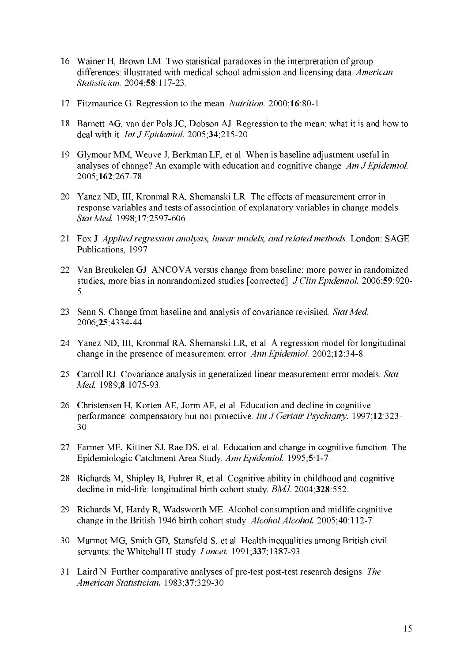- 16 Wainer H, Brown LM. Two statistical paradoxes in the interpretation of group differences: illustrated with medical school admission and licensing data. American Statistician. 2004;58:117-23.
- 17 Fitzmaurice G. Regression to the mean. *Nutrition*. 2000;16:80-1.
- 18 Barnett AG, van der Pols JC, Dobson AJ. Regression to the mean: what it is and how to deal with it. Int J Epidemiol.  $2005$ ;  $34$ :  $215-20$ .
- 19 Glymour MM, Weuve J, Berkman LF, et al. When is baseline adjustment useful in analyses of change? An example with education and cognitive change. Am J Epidemiol. 2005;162:267-78
- 20 Yanez ND, III, Kronmal RA, Shemanski LR. The effects of measurement error in response variables and tests of association of explanatory variables in change models. Stat Med. 1998;17:2597-606.
- 21 Fox J. Applied regression analysis, linear models, and related methods. London: SAGE Publications, 1997.
- 22 Van Breukelen GJ. ANCOVA versus change from baseline: more power in randomized studies, more bias in nonrandomized studies [corrected] J Clin Epidemiol. 2006;59:920- $\overline{5}$
- 23 Senn S. Change from baseline and analysis of covariance revisited. Stat Med. 2006;25:4334-44.
- 24 Yanez ND, III, Kronmal RA, Shemanski LR, et al. A regression model for longitudinal change in the presence of measurement error. Ann Epidemiol. 2002;12:34-8.
- 25 Carroll RJ. Covariance analysis in generalized linear measurement error models. Stat Med. 1989;8 1075-93.
- 26 Christensen H, Korten AE, Jorm AF, et al. Education and decline in cognitive performance: compensatory but not protective. Int J Geriatr Psychiatry. 1997;12:323- $30<sub>1</sub>$
- 27 Farmer ME, Kittner SJ, Rae DS, et al. Education and change in cognitive function. The Epidemiologic Catchment Area Study Ann Epidemiol. 1995;5:1-7.
- 28 Richards M, Shipley B, Fuhrer R, et al. Cognitive ability in childhood and cognitive decline in mid-life: longitudinal birth cohort study. BMJ. 2004;328:552.
- 29 Richards M, Hardy R, Wadsworth ME. Alcohol consumption and midlife cognitive change in the British 1946 birth cohort study. *Alcohol Alcohol.* 2005;40:112-7.
- 30 Marmot MG, Smith GD, Stansfeld S, et al. Health inequalities among British civil servants: the Whitehall II study. Lancet. 1991;337:1387-93.
- 31 Laird N. Further comparative analyses of pre-test post-test research designs. The American Statistician. 1983;37:329-30.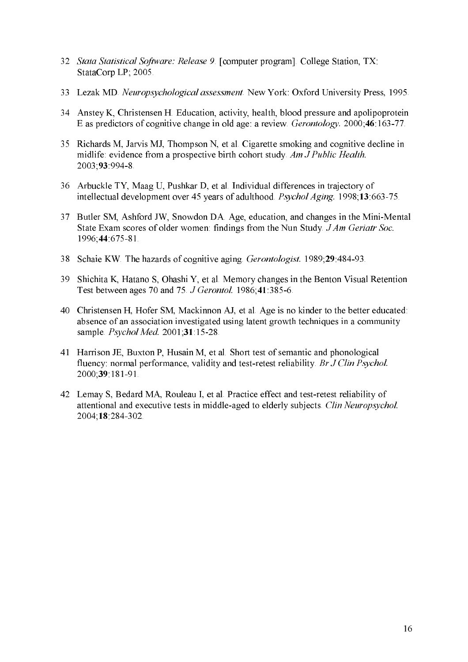- 32 Stata Statistical Software: Release 9. [computer program]. College Station, TX: StataCorp LP; 2005.
- 33 Lezak MD. Neuropsychological assessment. New York: Oxford University Press, 1995.
- 34 Anstey K, Christensen H. Education, activity, health, blood pressure and apolipoprotein E as predictors of cognitive change in old age: a review. *Gerontology*. 2000;46:163-77.
- 35 Richards M, Jarvis MJ, Thompson N, et al. Cigarette smoking and cognitive decline in midlife: evidence from a prospective birth cohort study. Am J Public Health. 2003;93:994-8
- 36 Arbuckle TY, Maag U, Pushkar D, et al. Individual differences in trajectory of intellectual development over 45 years of adulthood. Psychol Aging. 1998;13:663-75.
- 37 Butler SM, Ashford JW, Snowdon DA. Age, education, and changes in the Mini-Mental State Exam scores of older women: findings from the Nun Study. J Am Geriatr Soc. 1996;44:675-81.
- 38 Schaie KW. The hazards of cognitive aging. Gerontologist. 1989;29:484-93.
- 39 Shichita K, Hatano S, Ohashi Y, et al. Memory changes in the Benton Visual Retention Test between ages 70 and 75. J Gerontol. 1986;41:385-6.
- 40 Christensen H, Hofer SM, Mackinnon AJ, et al. Age is no kinder to the better educated: absence of an association investigated using latent growth techniques in a community sample. Psychol Med. 2001;31:15-28.
- 41 Harrison JE, Buxton P, Husain M, et al. Short test of semantic and phonological fluency: normal performance, validity and test-retest reliability. Br J Clin Psychol. 2000;39 181-91
- 42 Lemay S, Bedard MA, Rouleau I, et al. Practice effect and test-retest reliability of attentional and executive tests in middle-aged to elderly subjects. Clin Neuropsychol. 2004;18:284-302.